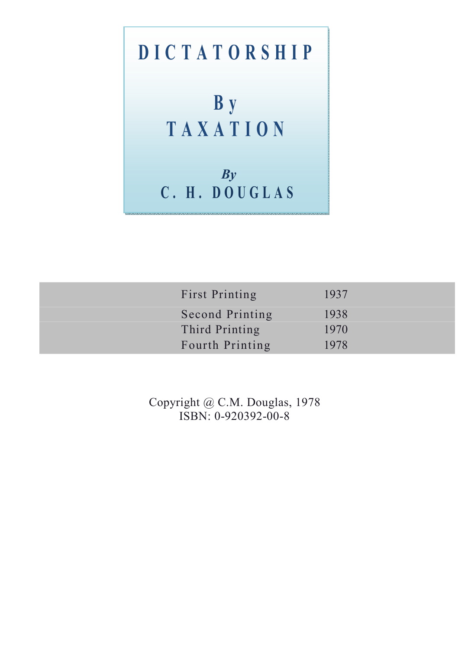# **D I C T A T O R S H I P B y T A X A T I O N**  *By*

**C . H . D O U G L A S** 

First Printing 1937 Second Printing 1938 Third Printing 1970 Fourth Printing 1978

> Copyright @ C.M. Douglas, 1978 ISBN: 0-920392-00-8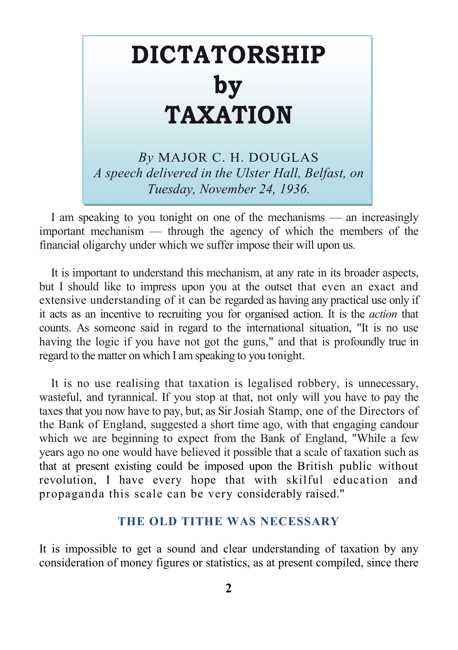# **DICTATORSHIP by TAXATION**

*By* MAJOR C. H. DOUGLAS *A speech delivered in the Ulster Hall, Belfast, on Tuesday, November 24, 1936.* 

I am speaking to you tonight on one of the mechanisms — an increasingly important mechanism — through the agency of which the members of the financial oligarchy under which we suffer impose their will upon us.

It is important to understand this mechanism, at any rate in its broader aspects, but I should like to impress upon you at the outset that even an exact and extensive understanding of it can be regarded as having any practical use only if it acts as an incentive to recruiting you for organised action. It is the *action* that counts. As someone said in regard to the international situation, "It is no use having the logic if you have not got the guns," and that is profoundly true in regard to the matter on which I am speaking to you tonight.

It is no use realising that taxation is legalised robbery, is unnecessary, wasteful, and tyrannical. If you stop at that, not only will you have to pay the taxes that you now have to pay, but, as Sir Josiah Stamp, one of the Directors of the Bank of England, suggested a short time ago, with that engaging candour which we are beginning to expect from the Bank of England, "While a few years ago no one would have believed it possible that a scale of taxation such as that at present existing could be imposed upon the British public without revolution, I have every hope that with skilful education and propaganda this scale can be very considerably raised."

#### **THE OLD TITHE WAS NECESSARY**

It is impossible to get a sound and clear understanding of taxation by any consideration of money figures or statistics, as at present compiled, since there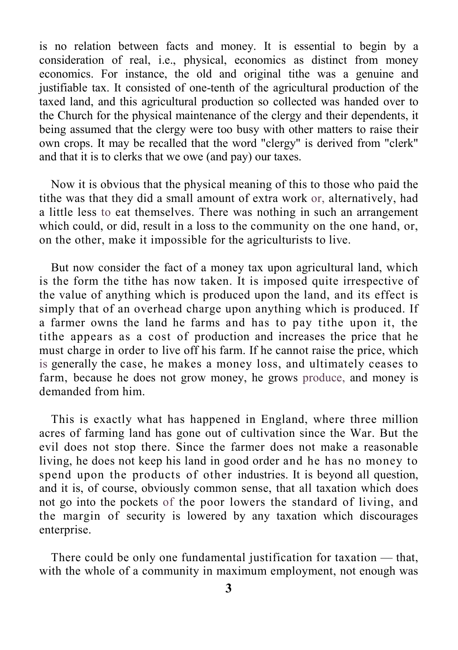is no relation between facts and money. It is essential to begin by a consideration of real, i.e., physical, economics as distinct from money economics. For instance, the old and original tithe was a genuine and justifiable tax. It consisted of one-tenth of the agricultural production of the taxed land, and this agricultural production so collected was handed over to the Church for the physical maintenance of the clergy and their dependents, it being assumed that the clergy were too busy with other matters to raise their own crops. It may be recalled that the word "clergy" is derived from "clerk" and that it is to clerks that we owe (and pay) our taxes.

Now it is obvious that the physical meaning of this to those who paid the tithe was that they did a small amount of extra work or, alternatively, had a little less to eat themselves. There was nothing in such an arrangement which could, or did, result in a loss to the community on the one hand, or, on the other, make it impossible for the agriculturists to live.

But now consider the fact of a money tax upon agricultural land, which is the form the tithe has now taken. It is imposed quite irrespective of the value of anything which is produced upon the land, and its effect is simply that of an overhead charge upon anything which is produced. If a farmer owns the land he farms and has to pay tithe upon it, the tithe appears as a cost of production and increases the price that he must charge in order to live off his farm. If he cannot raise the price, which is generally the case, he makes a money loss, and ultimately ceases to farm, because he does not grow money, he grows produce, and money is demanded from him.

This is exactly what has happened in England, where three million acres of farming land has gone out of cultivation since the War. But the evil does not stop there. Since the farmer does not make a reasonable living, he does not keep his land in good order and he has no money to spend upon the products of other industries. It is beyond all question, and it is, of course, obviously common sense, that all taxation which does not go into the pockets of the poor lowers the standard of living, and the margin of security is lowered by any taxation which discourages enterprise.

There could be only one fundamental justification for taxation — that, with the whole of a community in maximum employment, not enough was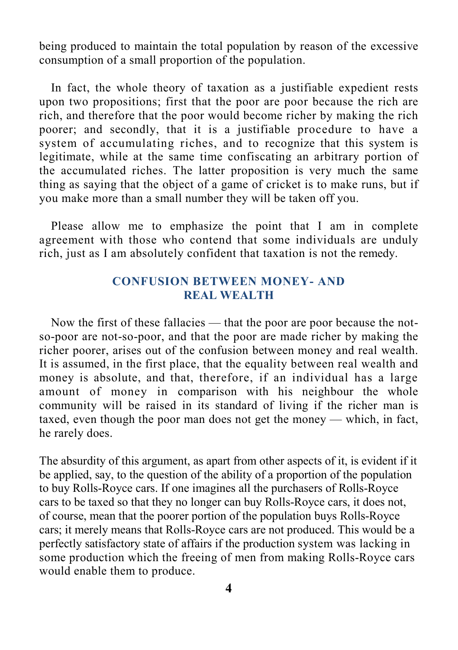being produced to maintain the total population by reason of the excessive consumption of a small proportion of the population.

In fact, the whole theory of taxation as a justifiable expedient rests upon two propositions; first that the poor are poor because the rich are rich, and therefore that the poor would become richer by making the rich poorer; and secondly, that it is a justifiable procedure to have a system of accumulating riches, and to recognize that this system is legitimate, while at the same time confiscating an arbitrary portion of the accumulated riches. The latter proposition is very much the same thing as saying that the object of a game of cricket is to make runs, but if you make more than a small number they will be taken off you.

Please allow me to emphasize the point that I am in complete agreement with those who contend that some individuals are unduly rich, just as I am absolutely confident that taxation is not the remedy.

#### **CONFUSION BETWEEN MONEY- AND REAL WEALTH**

Now the first of these fallacies — that the poor are poor because the notso-poor are not-so-poor, and that the poor are made richer by making the richer poorer, arises out of the confusion between money and real wealth. It is assumed, in the first place, that the equality between real wealth and money is absolute, and that, therefore, if an individual has a large amount of money in comparison with his neighbour the whole community will be raised in its standard of living if the richer man is taxed, even though the poor man does not get the money — which, in fact, he rarely does.

The absurdity of this argument, as apart from other aspects of it, is evident if it be applied, say, to the question of the ability of a proportion of the population to buy Rolls-Royce cars. If one imagines all the purchasers of Rolls-Royce cars to be taxed so that they no longer can buy Rolls-Royce cars, it does not, of course, mean that the poorer portion of the population buys Rolls-Royce cars; it merely means that Rolls-Royce cars are not produced. This would be a perfectly satisfactory state of affairs if the production system was lacking in some production which the freeing of men from making Rolls-Royce cars would enable them to produce.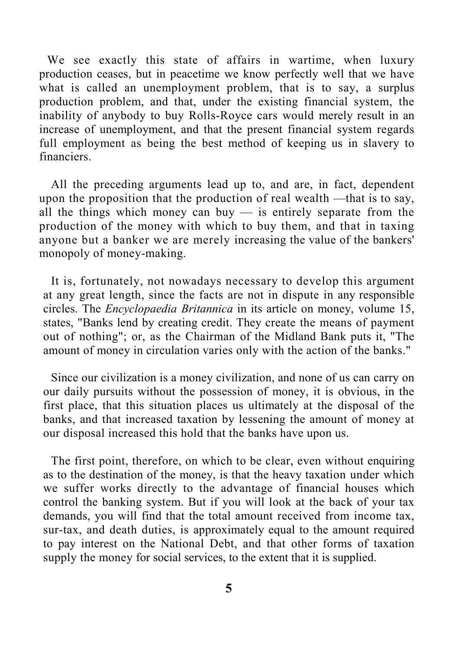We see exactly this state of affairs in wartime, when luxury production ceases, but in peacetime we know perfectly well that we have what is called an unemployment problem, that is to say, a surplus production problem, and that, under the existing financial system, the inability of anybody to buy Rolls-Royce cars would merely result in an increase of unemployment, and that the present financial system regards full employment as being the best method of keeping us in slavery to financiers.

All the preceding arguments lead up to, and are, in fact, dependent upon the proposition that the production of real wealth —that is to say, all the things which money can buy  $-$  is entirely separate from the production of the money with which to buy them, and that in taxing anyone but a banker we are merely increasing the value of the bankers' monopoly of money-making.

It is, fortunately, not nowadays necessary to develop this argument at any great length, since the facts are not in dispute in any responsible circles. The *Encyclopaedia Britannica* in its article on money, volume 15, states, "Banks lend by creating credit. They create the means of payment out of nothing"; or, as the Chairman of the Midland Bank puts it, "The amount of money in circulation varies only with the action of the banks."

Since our civilization is a money civilization, and none of us can carry on our daily pursuits without the possession of money, it is obvious, in the first place, that this situation places us ultimately at the disposal of the banks, and that increased taxation by lessening the amount of money at our disposal increased this hold that the banks have upon us.

The first point, therefore, on which to be clear, even without enquiring as to the destination of the money, is that the heavy taxation under which we suffer works directly to the advantage of financial houses which control the banking system. But if you will look at the back of your tax demands, you will find that the total amount received from income tax, sur-tax, and death duties, is approximately equal to the amount required to pay interest on the National Debt, and that other forms of taxation supply the money for social services, to the extent that it is supplied.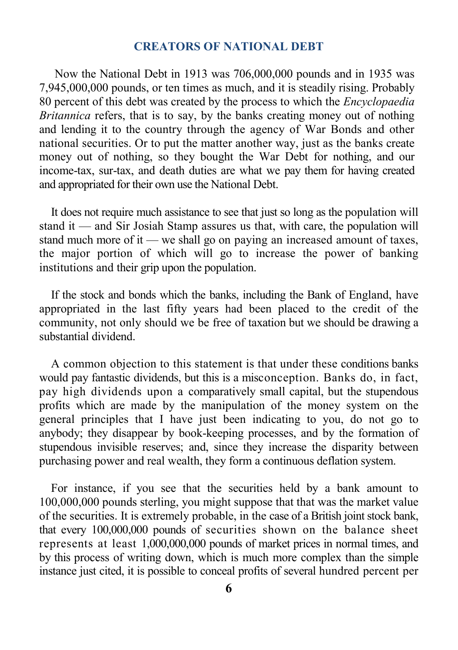#### **CREATORS OF NATIONAL DEBT**

Now the National Debt in 1913 was 706,000,000 pounds and in 1935 was 7,945,000,000 pounds, or ten times as much, and it is steadily rising. Probably 80 percent of this debt was created by the process to which the *Encyclopaedia Britannica* refers, that is to say, by the banks creating money out of nothing and lending it to the country through the agency of War Bonds and other national securities. Or to put the matter another way, just as the banks create money out of nothing, so they bought the War Debt for nothing, and our income-tax, sur-tax, and death duties are what we pay them for having created and appropriated for their own use the National Debt.

It does not require much assistance to see that just so long as the population will stand it — and Sir Josiah Stamp assures us that, with care, the population will stand much more of it — we shall go on paying an increased amount of taxes, the major portion of which will go to increase the power of banking institutions and their grip upon the population.

If the stock and bonds which the banks, including the Bank of England, have appropriated in the last fifty years had been placed to the credit of the community, not only should we be free of taxation but we should be drawing a substantial dividend.

A common objection to this statement is that under these conditions banks would pay fantastic dividends, but this is a misconception. Banks do, in fact, pay high dividends upon a comparatively small capital, but the stupendous profits which are made by the manipulation of the money system on the general principles that I have just been indicating to you, do not go to anybody; they disappear by book-keeping processes, and by the formation of stupendous invisible reserves; and, since they increase the disparity between purchasing power and real wealth, they form a continuous deflation system.

For instance, if you see that the securities held by a bank amount to 100,000,000 pounds sterling, you might suppose that that was the market value of the securities. It is extremely probable, in the case of a British joint stock bank, that every 100,000,000 pounds of securities shown on the balance sheet represents at least 1,000,000,000 pounds of market prices in normal times, and by this process of writing down, which is much more complex than the simple instance just cited, it is possible to conceal profits of several hundred percent per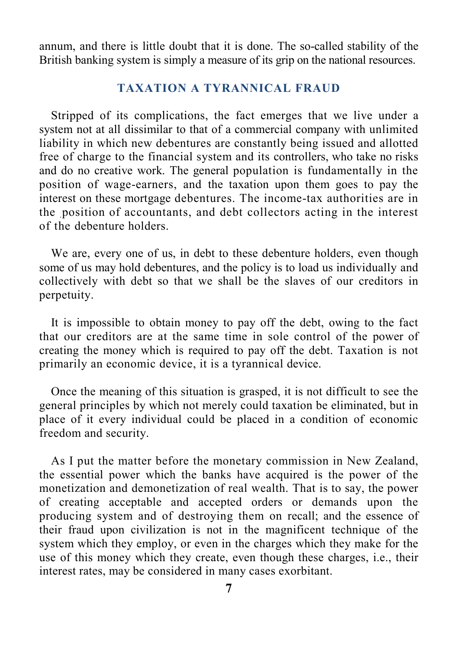annum, and there is little doubt that it is done. The so-called stability of the British banking system is simply a measure of its grip on the national resources.

#### **TAXATION A TYRANNICAL FRAUD**

Stripped of its complications, the fact emerges that we live under a system not at all dissimilar to that of a commercial company with unlimited liability in which new debentures are constantly being issued and allotted free of charge to the financial system and its controllers, who take no risks and do no creative work. The general population is fundamentally in the position of wage-earners, and the taxation upon them goes to pay the interest on these mortgage debentures. The income-tax authorities are in the position of accountants, and debt collectors acting in the interest of the debenture holders.

We are, every one of us, in debt to these debenture holders, even though some of us may hold debentures, and the policy is to load us individually and collectively with debt so that we shall be the slaves of our creditors in perpetuity.

It is impossible to obtain money to pay off the debt, owing to the fact that our creditors are at the same time in sole control of the power of creating the money which is required to pay off the debt. Taxation is not primarily an economic device, it is a tyrannical device.

Once the meaning of this situation is grasped, it is not difficult to see the general principles by which not merely could taxation be eliminated, but in place of it every individual could be placed in a condition of economic freedom and security.

As I put the matter before the monetary commission in New Zealand, the essential power which the banks have acquired is the power of the monetization and demonetization of real wealth. That is to say, the power of creating acceptable and accepted orders or demands upon the producing system and of destroying them on recall; and the essence of their fraud upon civilization is not in the magnificent technique of the system which they employ, or even in the charges which they make for the use of this money which they create, even though these charges, i.e., their interest rates, may be considered in many cases exorbitant.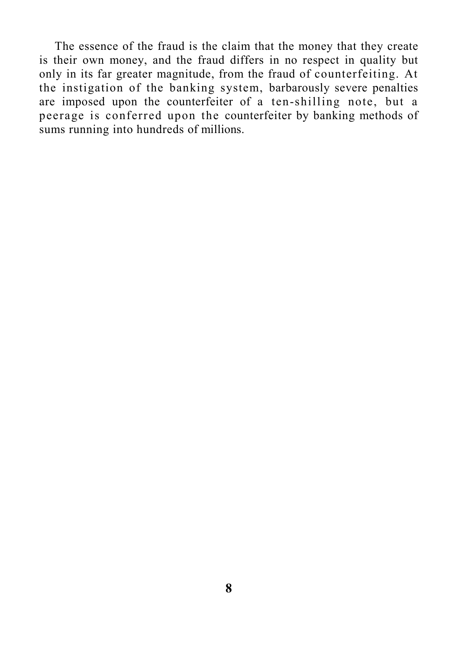The essence of the fraud is the claim that the money that they create is their own money, and the fraud differs in no respect in quality but only in its far greater magnitude, from the fraud of counterfeiting. At the instigation of the banking system, barbarously severe penalties are imposed upon the counterfeiter of a ten-shilling note, but a peerage is conferred upon the counterfeiter by banking methods of sums running into hundreds of millions.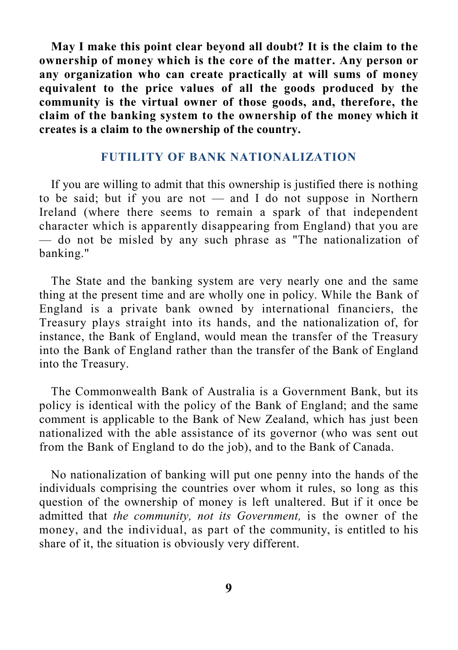**May I make this point clear beyond all doubt? It is the claim to the ownership of money which is the core of the matter. Any person or any organization who can create practically at will sums of money equivalent to the price values of all the goods produced by the community is the virtual owner of those goods, and, therefore, the claim of the banking system to the ownership of the money which it creates is a claim to the ownership of the country.**

#### **FUTILITY OF BANK NATIONALIZATION**

If you are willing to admit that this ownership is justified there is nothing to be said; but if you are not — and I do not suppose in Northern Ireland (where there seems to remain a spark of that independent character which is apparently disappearing from England) that you are — do not be misled by any such phrase as "The nationalization of banking."

The State and the banking system are very nearly one and the same thing at the present time and are wholly one in policy. While the Bank of England is a private bank owned by international financiers, the Treasury plays straight into its hands, and the nationalization of, for instance, the Bank of England, would mean the transfer of the Treasury into the Bank of England rather than the transfer of the Bank of England into the Treasury.

The Commonwealth Bank of Australia is a Government Bank, but its policy is identical with the policy of the Bank of England; and the same comment is applicable to the Bank of New Zealand, which has just been nationalized with the able assistance of its governor (who was sent out from the Bank of England to do the job), and to the Bank of Canada.

No nationalization of banking will put one penny into the hands of the individuals comprising the countries over whom it rules, so long as this question of the ownership of money is left unaltered. But if it once be admitted that *the community, not its Government,* is the owner of the money, and the individual, as part of the community, is entitled to his share of it, the situation is obviously very different.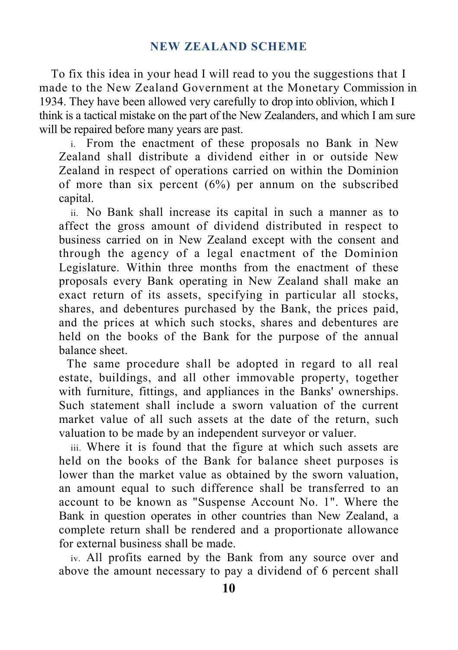To fix this idea in your head I will read to you the suggestions that I made to the New Zealand Government at the Monetary Commission in 1934. They have been allowed very carefully to drop into oblivion, which I think is a tactical mistake on the part of the New Zealanders, and which I am sure will be repaired before many years are past.

i. From the enactment of these proposals no Bank in New Zealand shall distribute a dividend either in or outside New Zealand in respect of operations carried on within the Dominion of more than six percent  $(6%)$  per annum on the subscribed capital.

ii. No Bank shall increase its capital in such a manner as to affect the gross amount of dividend distributed in respect to business carried on in New Zealand except with the consent and through the agency of a legal enactment of the Dominion Legislature. Within three months from the enactment of these proposals every Bank operating in New Zealand shall make an exact return of its assets, specifying in particular all stocks, shares, and debentures purchased by the Bank, the prices paid, and the prices at which such stocks, shares and debentures are held on the books of the Bank for the purpose of the annual balance sheet.

The same procedure shall be adopted in regard to all real estate, buildings, and all other immovable property, together with furniture, fittings, and appliances in the Banks' ownerships. Such statement shall include a sworn valuation of the current market value of all such assets at the date of the return, such valuation to be made by an independent surveyor or valuer.

iii. Where it is found that the figure at which such assets are held on the books of the Bank for balance sheet purposes is lower than the market value as obtained by the sworn valuation, an amount equal to such difference shall be transferred to an account to be known as "Suspense Account No. 1". Where the Bank in question operates in other countries than New Zealand, a complete return shall be rendered and a proportionate allowance for external business shall be made.

iv. All profits earned by the Bank from any source over and above the amount necessary to pay a dividend of 6 percent shall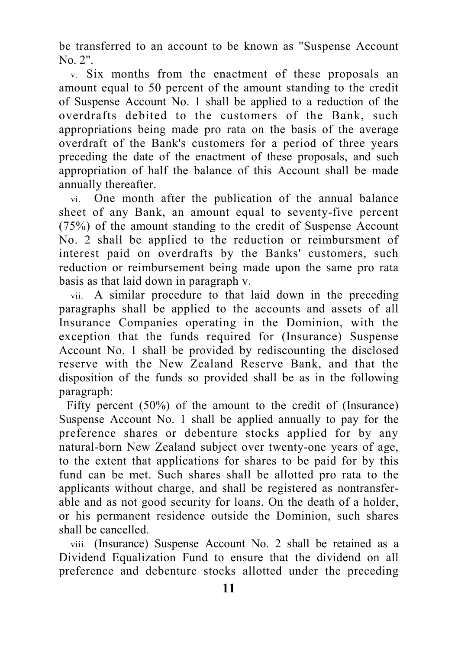be transferred to an account to be known as "Suspense Account No. 2".

v. Six months from the enactment of these proposals an amount equal to 50 percent of the amount standing to the credit of Suspense Account No. 1 shall be applied to a reduction of the overdrafts debited to the customers of the Bank, such appropriations being made pro rata on the basis of the average overdraft of the Bank's customers for a period of three years preceding the date of the enactment of these proposals, and such appropriation of half the balance of this Account shall be made annually thereafter.

vi. One month after the publication of the annual balance sheet of any Bank, an amount equal to seventy-five percent (75%) of the amount standing to the credit of Suspense Account No. 2 shall be applied to the reduction or reimbursment of interest paid on overdrafts by the Banks' customers, such reduction or reimbursement being made upon the same pro rata basis as that laid down in paragraph v.

vii. A similar procedure to that laid down in the preceding paragraphs shall be applied to the accounts and assets of all Insurance Companies operating in the Dominion, with the exception that the funds required for (Insurance) Suspense Account No. 1 shall be provided by rediscounting the disclosed reserve with the New Zealand Reserve Bank, and that the disposition of the funds so provided shall be as in the following paragraph:

Fifty percent (50%) of the amount to the credit of (Insurance) Suspense Account No. 1 shall be applied annually to pay for the preference shares or debenture stocks applied for by any natural-born New Zealand subject over twenty-one years of age, to the extent that applications for shares to be paid for by this fund can be met. Such shares shall be allotted pro rata to the applicants without charge, and shall be registered as nontransferable and as not good security for loans. On the death of a holder, or his permanent residence outside the Dominion, such shares shall be cancelled.

viii. (Insurance) Suspense Account No. 2 shall be retained as a Dividend Equalization Fund to ensure that the dividend on all preference and debenture stocks allotted under the preceding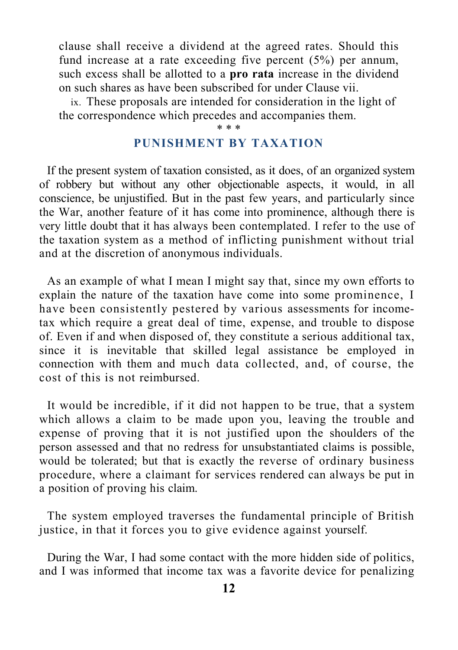clause shall receive a dividend at the agreed rates. Should this fund increase at a rate exceeding five percent (5%) per annum, such excess shall be allotted to a **pro rata** increase in the dividend on such shares as have been subscribed for under Clause vii.

ix. These proposals are intended for consideration in the light of the correspondence which precedes and accompanies them.

#### \* \* \*

### **PUNISHMENT BY TAXATION**

If the present system of taxation consisted, as it does, of an organized system of robbery but without any other objectionable aspects, it would, in all conscience, be unjustified. But in the past few years, and particularly since the War, another feature of it has come into prominence, although there is very little doubt that it has always been contemplated. I refer to the use of the taxation system as a method of inflicting punishment without trial and at the discretion of anonymous individuals.

As an example of what I mean I might say that, since my own efforts to explain the nature of the taxation have come into some prominence, I have been consistently pestered by various assessments for incometax which require a great deal of time, expense, and trouble to dispose of. Even if and when disposed of, they constitute a serious additional tax, since it is inevitable that skilled legal assistance be employed in connection with them and much data collected, and, of course, the cost of this is not reimbursed.

It would be incredible, if it did not happen to be true, that a system which allows a claim to be made upon you, leaving the trouble and expense of proving that it is not justified upon the shoulders of the person assessed and that no redress for unsubstantiated claims is possible, would be tolerated; but that is exactly the reverse of ordinary business procedure, where a claimant for services rendered can always be put in a position of proving his claim.

The system employed traverses the fundamental principle of British justice, in that it forces you to give evidence against yourself.

During the War, I had some contact with the more hidden side of politics, and I was informed that income tax was a favorite device for penalizing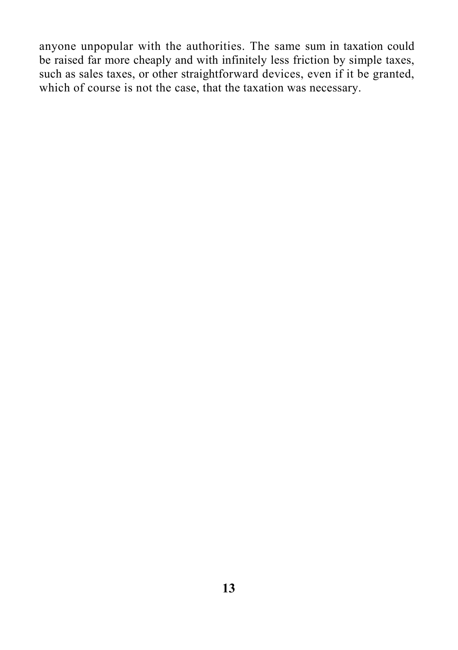anyone unpopular with the authorities. The same sum in taxation could be raised far more cheaply and with infinitely less friction by simple taxes, such as sales taxes, or other straightforward devices, even if it be granted, which of course is not the case, that the taxation was necessary.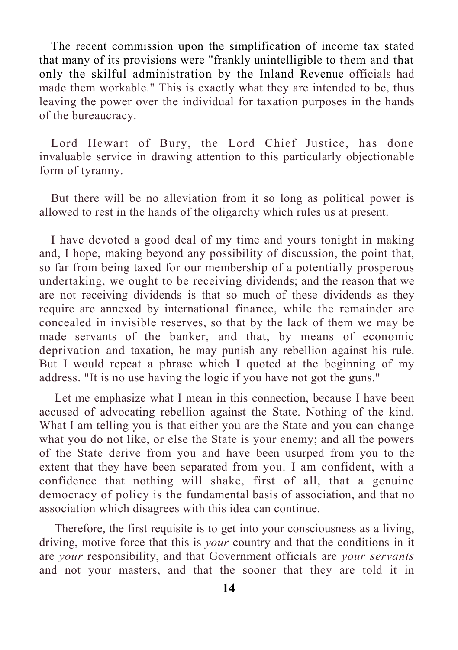The recent commission upon the simplification of income tax stated that many of its provisions were "frankly unintelligible to them and that only the skilful administration by the Inland Revenue officials had made them workable." This is exactly what they are intended to be, thus leaving the power over the individual for taxation purposes in the hands of the bureaucracy.

Lord Hewart of Bury, the Lord Chief Justice, has done invaluable service in drawing attention to this particularly objectionable form of tyranny.

But there will be no alleviation from it so long as political power is allowed to rest in the hands of the oligarchy which rules us at present.

I have devoted a good deal of my time and yours tonight in making and, I hope, making beyond any possibility of discussion, the point that, so far from being taxed for our membership of a potentially prosperous undertaking, we ought to be receiving dividends; and the reason that we are not receiving dividends is that so much of these dividends as they require are annexed by international finance, while the remainder are concealed in invisible reserves, so that by the lack of them we may be made servants of the banker, and that, by means of economic deprivation and taxation, he may punish any rebellion against his rule. But I would repeat a phrase which I quoted at the beginning of my address. "It is no use having the logic if you have not got the guns."

Let me emphasize what I mean in this connection, because I have been accused of advocating rebellion against the State. Nothing of the kind. What I am telling you is that either you are the State and you can change what you do not like, or else the State is your enemy; and all the powers of the State derive from you and have been usurped from you to the extent that they have been separated from you. I am confident, with a confidence that nothing will shake, first of all, that a genuine democracy of policy is the fundamental basis of association, and that no association which disagrees with this idea can continue.

Therefore, the first requisite is to get into your consciousness as a living, driving, motive force that this is *your* country and that the conditions in it are *your* responsibility, and that Government officials are *your servants*  and not your masters, and that the sooner that they are told it in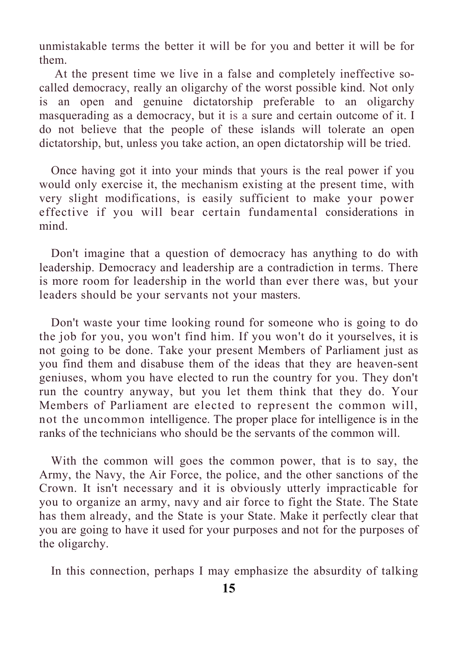unmistakable terms the better it will be for you and better it will be for them.

At the present time we live in a false and completely ineffective socalled democracy, really an oligarchy of the worst possible kind. Not only is an open and genuine dictatorship preferable to an oligarchy masquerading as a democracy, but it is a sure and certain outcome of it. I do not believe that the people of these islands will tolerate an open dictatorship, but, unless you take action, an open dictatorship will be tried.

Once having got it into your minds that yours is the real power if you would only exercise it, the mechanism existing at the present time, with very slight modifications, is easily sufficient to make your power effective if you will bear certain fundamental considerations in mind.

Don't imagine that a question of democracy has anything to do with leadership. Democracy and leadership are a contradiction in terms. There is more room for leadership in the world than ever there was, but your leaders should be your servants not your masters.

Don't waste your time looking round for someone who is going to do the job for you, you won't find him. If you won't do it yourselves, it is not going to be done. Take your present Members of Parliament just as you find them and disabuse them of the ideas that they are heaven-sent geniuses, whom you have elected to run the country for you. They don't run the country anyway, but you let them think that they do. Your Members of Parliament are elected to represent the common will, not the uncommon intelligence. The proper place for intelligence is in the ranks of the technicians who should be the servants of the common will.

With the common will goes the common power, that is to say, the Army, the Navy, the Air Force, the police, and the other sanctions of the Crown. It isn't necessary and it is obviously utterly impracticable for you to organize an army, navy and air force to fight the State. The State has them already, and the State is your State. Make it perfectly clear that you are going to have it used for your purposes and not for the purposes of the oligarchy.

In this connection, perhaps I may emphasize the absurdity of talking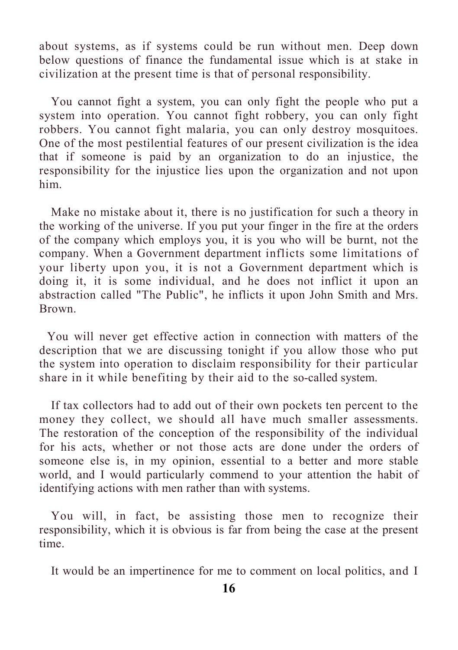about systems, as if systems could be run without men. Deep down below questions of finance the fundamental issue which is at stake in civilization at the present time is that of personal responsibility.

You cannot fight a system, you can only fight the people who put a system into operation. You cannot fight robbery, you can only fight robbers. You cannot fight malaria, you can only destroy mosquitoes. One of the most pestilential features of our present civilization is the idea that if someone is paid by an organization to do an injustice, the responsibility for the injustice lies upon the organization and not upon him.

Make no mistake about it, there is no justification for such a theory in the working of the universe. If you put your finger in the fire at the orders of the company which employs you, it is you who will be burnt, not the company. When a Government department inflicts some limitations of your liberty upon you, it is not a Government department which is doing it, it is some individual, and he does not inflict it upon an abstraction called "The Public", he inflicts it upon John Smith and Mrs. Brown.

You will never get effective action in connection with matters of the description that we are discussing tonight if you allow those who put the system into operation to disclaim responsibility for their particular share in it while benefiting by their aid to the so-called system.

If tax collectors had to add out of their own pockets ten percent to the money they collect, we should all have much smaller assessments. The restoration of the conception of the responsibility of the individual for his acts, whether or not those acts are done under the orders of someone else is, in my opinion, essential to a better and more stable world, and I would particularly commend to your attention the habit of identifying actions with men rather than with systems.

You will, in fact, be assisting those men to recognize their responsibility, which it is obvious is far from being the case at the present time.

It would be an impertinence for me to comment on local politics, and I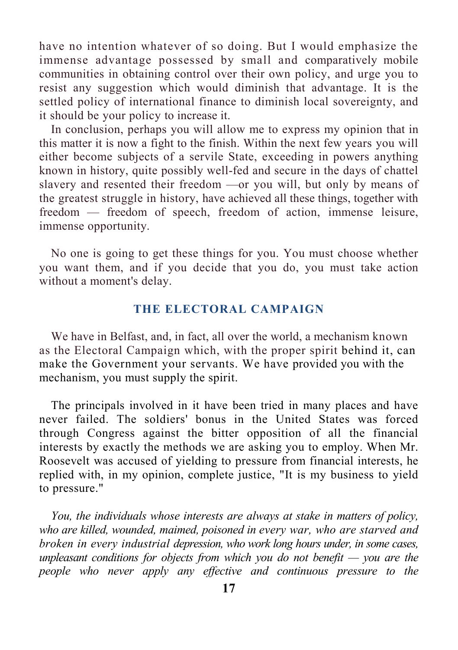have no intention whatever of so doing. But I would emphasize the immense advantage possessed by small and comparatively mobile communities in obtaining control over their own policy, and urge you to resist any suggestion which would diminish that advantage. It is the settled policy of international finance to diminish local sovereignty, and it should be your policy to increase it.

In conclusion, perhaps you will allow me to express my opinion that in this matter it is now a fight to the finish. Within the next few years you will either become subjects of a servile State, exceeding in powers anything known in history, quite possibly well-fed and secure in the days of chattel slavery and resented their freedom —or you will, but only by means of the greatest struggle in history, have achieved all these things, together with freedom — freedom of speech, freedom of action, immense leisure, immense opportunity.

No one is going to get these things for you. You must choose whether you want them, and if you decide that you do, you must take action without a moment's delay.

#### **THE ELECTORAL CAMPAIGN**

We have in Belfast, and, in fact, all over the world, a mechanism known as the Electoral Campaign which, with the proper spirit behind it, can make the Government your servants. We have provided you with the mechanism, you must supply the spirit.

The principals involved in it have been tried in many places and have never failed. The soldiers' bonus in the United States was forced through Congress against the bitter opposition of all the financial interests by exactly the methods we are asking you to employ. When Mr. Roosevelt was accused of yielding to pressure from financial interests, he replied with, in my opinion, complete justice, "It is my business to yield to pressure."

*You, the individuals whose interests are always at stake in matters of policy, who are killed, wounded, maimed, poisoned in every war, who are starved and broken in every industrial depression, who work long hours under, in some cases, unpleasant conditions for objects from which you do not benefit — you are the people who never apply any effective and continuous pressure to the*